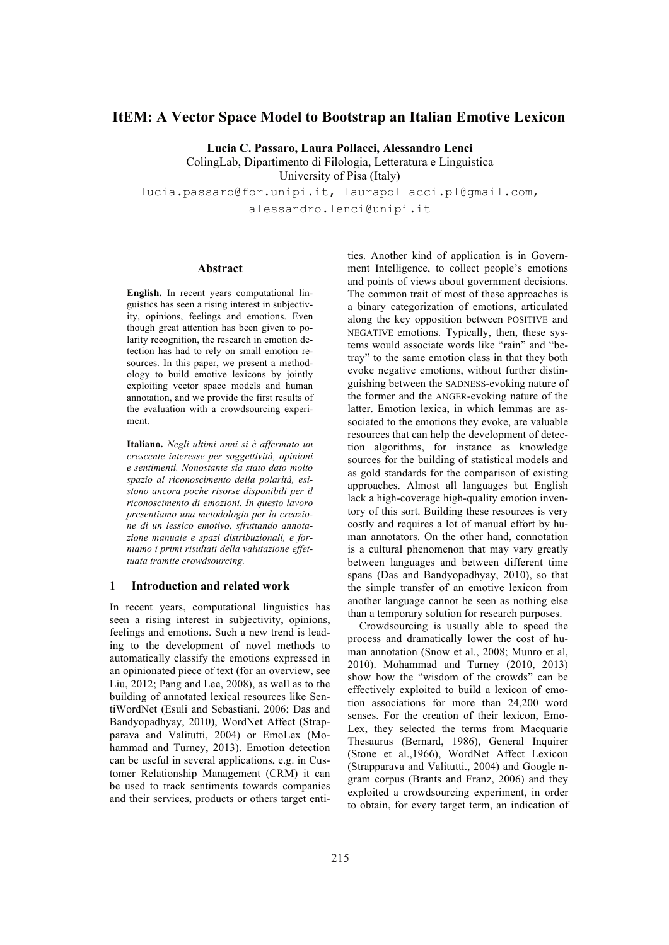# **ItEM: A Vector Space Model to Bootstrap an Italian Emotive Lexicon**

**Lucia C. Passaro, Laura Pollacci, Alessandro Lenci** ColingLab, Dipartimento di Filologia, Letteratura e Linguistica University of Pisa (Italy) lucia.passaro@for.unipi.it, laurapollacci.pl@gmail.com, alessandro.lenci@unipi.it

### **Abstract**

**English.** In recent years computational linguistics has seen a rising interest in subjectivity, opinions, feelings and emotions. Even though great attention has been given to polarity recognition, the research in emotion detection has had to rely on small emotion resources. In this paper, we present a methodology to build emotive lexicons by jointly exploiting vector space models and human annotation, and we provide the first results of the evaluation with a crowdsourcing experiment.

**Italiano.** *Negli ultimi anni si è affermato un crescente interesse per soggettività, opinioni e sentimenti. Nonostante sia stato dato molto spazio al riconoscimento della polarità, esistono ancora poche risorse disponibili per il riconoscimento di emozioni. In questo lavoro presentiamo una metodologia per la creazione di un lessico emotivo, sfruttando annotazione manuale e spazi distribuzionali, e forniamo i primi risultati della valutazione effettuata tramite crowdsourcing.*

## **1 Introduction and related work**

In recent years, computational linguistics has seen a rising interest in subjectivity, opinions, feelings and emotions. Such a new trend is leading to the development of novel methods to automatically classify the emotions expressed in an opinionated piece of text (for an overview, see Liu, 2012; Pang and Lee, 2008), as well as to the building of annotated lexical resources like SentiWordNet (Esuli and Sebastiani, 2006; Das and Bandyopadhyay, 2010), WordNet Affect (Strapparava and Valitutti, 2004) or EmoLex (Mohammad and Turney, 2013). Emotion detection can be useful in several applications, e.g. in Customer Relationship Management (CRM) it can be used to track sentiments towards companies and their services, products or others target entities. Another kind of application is in Government Intelligence, to collect people's emotions and points of views about government decisions. The common trait of most of these approaches is a binary categorization of emotions, articulated along the key opposition between POSITIVE and NEGATIVE emotions. Typically, then, these systems would associate words like "rain" and "betray" to the same emotion class in that they both evoke negative emotions, without further distinguishing between the SADNESS-evoking nature of the former and the ANGER-evoking nature of the latter. Emotion lexica, in which lemmas are associated to the emotions they evoke, are valuable resources that can help the development of detection algorithms, for instance as knowledge sources for the building of statistical models and as gold standards for the comparison of existing approaches. Almost all languages but English lack a high-coverage high-quality emotion inventory of this sort. Building these resources is very costly and requires a lot of manual effort by human annotators. On the other hand, connotation is a cultural phenomenon that may vary greatly between languages and between different time spans (Das and Bandyopadhyay, 2010), so that the simple transfer of an emotive lexicon from another language cannot be seen as nothing else than a temporary solution for research purposes.

Crowdsourcing is usually able to speed the process and dramatically lower the cost of human annotation (Snow et al., 2008; Munro et al, 2010). Mohammad and Turney (2010, 2013) show how the "wisdom of the crowds" can be effectively exploited to build a lexicon of emotion associations for more than 24,200 word senses. For the creation of their lexicon, Emo-Lex, they selected the terms from Macquarie Thesaurus (Bernard, 1986), General Inquirer (Stone et al.,1966), WordNet Affect Lexicon (Strapparava and Valitutti., 2004) and Google ngram corpus (Brants and Franz, 2006) and they exploited a crowdsourcing experiment, in order to obtain, for every target term, an indication of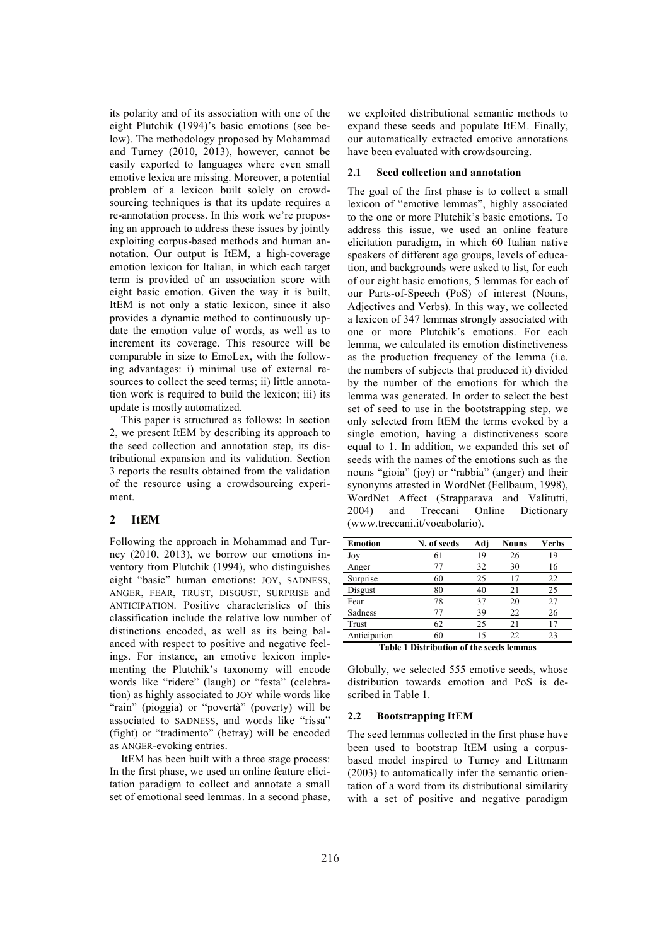its polarity and of its association with one of the eight Plutchik (1994)'s basic emotions (see below). The methodology proposed by Mohammad and Turney (2010, 2013), however, cannot be easily exported to languages where even small emotive lexica are missing. Moreover, a potential problem of a lexicon built solely on crowdsourcing techniques is that its update requires a re-annotation process. In this work we're proposing an approach to address these issues by jointly exploiting corpus-based methods and human annotation. Our output is ItEM, a high-coverage emotion lexicon for Italian, in which each target term is provided of an association score with eight basic emotion. Given the way it is built, ItEM is not only a static lexicon, since it also provides a dynamic method to continuously update the emotion value of words, as well as to increment its coverage. This resource will be comparable in size to EmoLex, with the following advantages: i) minimal use of external resources to collect the seed terms; ii) little annotation work is required to build the lexicon; iii) its update is mostly automatized.

This paper is structured as follows: In section 2, we present ItEM by describing its approach to the seed collection and annotation step, its distributional expansion and its validation. Section 3 reports the results obtained from the validation of the resource using a crowdsourcing experiment.

## **2 ItEM**

Following the approach in Mohammad and Turney (2010, 2013), we borrow our emotions inventory from Plutchik (1994), who distinguishes eight "basic" human emotions: JOY, SADNESS, ANGER, FEAR, TRUST, DISGUST, SURPRISE and ANTICIPATION. Positive characteristics of this classification include the relative low number of distinctions encoded, as well as its being balanced with respect to positive and negative feelings. For instance, an emotive lexicon implementing the Plutchik's taxonomy will encode words like "ridere" (laugh) or "festa" (celebration) as highly associated to JOY while words like "rain" (pioggia) or "povertà" (poverty) will be associated to SADNESS, and words like "rissa" (fight) or "tradimento" (betray) will be encoded as ANGER-evoking entries.

ItEM has been built with a three stage process: In the first phase, we used an online feature elicitation paradigm to collect and annotate a small set of emotional seed lemmas. In a second phase, we exploited distributional semantic methods to expand these seeds and populate ItEM. Finally, our automatically extracted emotive annotations have been evaluated with crowdsourcing.

#### **2.1 Seed collection and annotation**

The goal of the first phase is to collect a small lexicon of "emotive lemmas", highly associated to the one or more Plutchik's basic emotions. To address this issue, we used an online feature elicitation paradigm, in which 60 Italian native speakers of different age groups, levels of education, and backgrounds were asked to list, for each of our eight basic emotions, 5 lemmas for each of our Parts-of-Speech (PoS) of interest (Nouns, Adjectives and Verbs). In this way, we collected a lexicon of 347 lemmas strongly associated with one or more Plutchik's emotions. For each lemma, we calculated its emotion distinctiveness as the production frequency of the lemma (i.e. the numbers of subjects that produced it) divided by the number of the emotions for which the lemma was generated. In order to select the best set of seed to use in the bootstrapping step, we only selected from ItEM the terms evoked by a single emotion, having a distinctiveness score equal to 1. In addition, we expanded this set of seeds with the names of the emotions such as the nouns "gioia" (joy) or "rabbia" (anger) and their synonyms attested in WordNet (Fellbaum, 1998), WordNet Affect (Strapparava and Valitutti, 2004) and Treccani Online Dictionary (www.treccani.it/vocabolario).

| <b>Emotion</b>                                  | N. of seeds | Adj | Nouns | Verbs |
|-------------------------------------------------|-------------|-----|-------|-------|
| Joy                                             | 61          | 19  | 26    | 19    |
| Anger                                           | 77          | 32  | 30    | 16    |
| Surprise                                        | 60          | 25  | 17    | 22    |
| Disgust                                         | 80          | 40  | 21    | 25    |
| Fear                                            | 78          | 37  | 20    | 27    |
| Sadness                                         | 77          | 39  | 22    | 26    |
| Trust                                           | 62          | 25  | 21    | 17    |
| Anticipation                                    | 60          | 15  | 22    | 23    |
| <b>Table 1 Distribution of the seeds lemmas</b> |             |     |       |       |

Globally, we selected 555 emotive seeds, whose distribution towards emotion and PoS is described in Table 1.

#### **2.2 Bootstrapping ItEM**

The seed lemmas collected in the first phase have been used to bootstrap ItEM using a corpusbased model inspired to Turney and Littmann (2003) to automatically infer the semantic orientation of a word from its distributional similarity with a set of positive and negative paradigm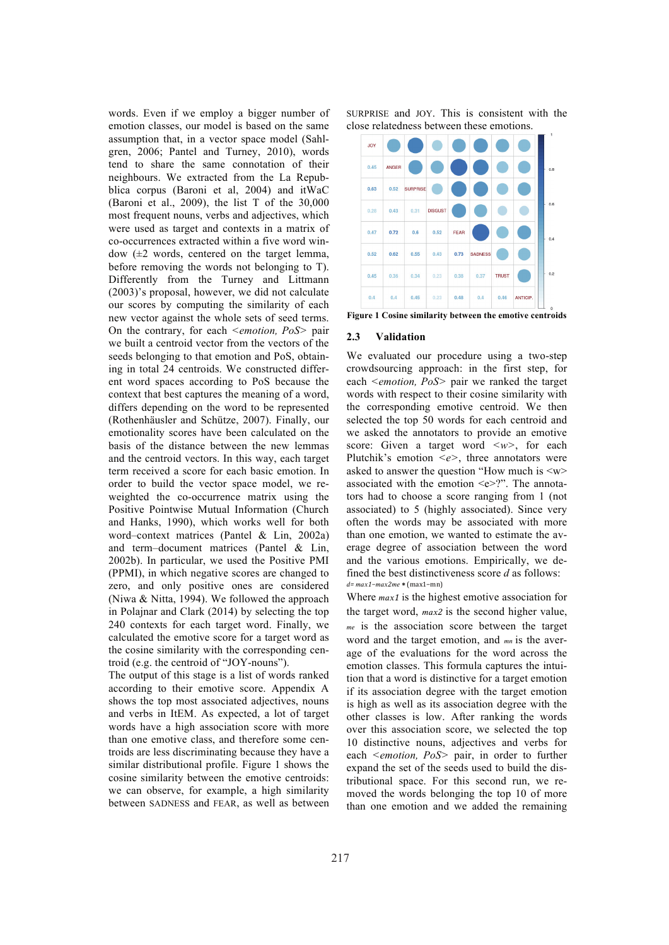words. Even if we employ a bigger number of emotion classes, our model is based on the same assumption that, in a vector space model (Sahlgren, 2006; Pantel and Turney, 2010), words tend to share the same connotation of their neighbours. We extracted from the La Repubblica corpus (Baroni et al, 2004) and itWaC (Baroni et al., 2009), the list T of the 30,000 most frequent nouns, verbs and adjectives, which were used as target and contexts in a matrix of co-occurrences extracted within a five word window  $(\pm 2$  words, centered on the target lemma, before removing the words not belonging to T). Differently from the Turney and Littmann (2003)'s proposal, however, we did not calculate our scores by computing the similarity of each new vector against the whole sets of seed terms. On the contrary, for each *<emotion, PoS>* pair we built a centroid vector from the vectors of the seeds belonging to that emotion and PoS, obtaining in total 24 centroids. We constructed different word spaces according to PoS because the context that best captures the meaning of a word, differs depending on the word to be represented (Rothenhäusler and Schütze, 2007). Finally, our emotionality scores have been calculated on the basis of the distance between the new lemmas and the centroid vectors. In this way, each target term received a score for each basic emotion. In order to build the vector space model, we reweighted the co-occurrence matrix using the Positive Pointwise Mutual Information (Church and Hanks, 1990), which works well for both word–context matrices (Pantel & Lin, 2002a) and term–document matrices (Pantel & Lin, 2002b). In particular, we used the Positive PMI (PPMI), in which negative scores are changed to zero, and only positive ones are considered (Niwa & Nitta, 1994). We followed the approach in Polajnar and Clark (2014) by selecting the top 240 contexts for each target word. Finally, we calculated the emotive score for a target word as the cosine similarity with the corresponding centroid (e.g. the centroid of "JOY-nouns").

The output of this stage is a list of words ranked according to their emotive score. Appendix A shows the top most associated adjectives, nouns and verbs in ItEM. As expected, a lot of target words have a high association score with more than one emotive class, and therefore some centroids are less discriminating because they have a similar distributional profile. Figure 1 shows the cosine similarity between the emotive centroids: we can observe, for example, a high similarity between SADNESS and FEAR, as well as between SURPRISE and JOY. This is consistent with the close relatedness between these emotions.



**Figure 1 Cosine similarity between the emotive centroids**

## **2.3 Validation**

We evaluated our procedure using a two-step crowdsourcing approach: in the first step, for each *<emotion, PoS>* pair we ranked the target words with respect to their cosine similarity with the corresponding emotive centroid. We then selected the top 50 words for each centroid and we asked the annotators to provide an emotive score: Given a target word *<w>*, for each Plutchik's emotion *<e>*, three annotators were asked to answer the question "How much is <w> associated with the emotion  $\leq e \geq ?$ ". The annotators had to choose a score ranging from 1 (not associated) to 5 (highly associated). Since very often the words may be associated with more than one emotion, we wanted to estimate the average degree of association between the word and the various emotions. Empirically, we defined the best distinctiveness score *d* as follows: *d=*  $max1 - max2me$  \* (max1−mn)

Where  $max1$  is the highest emotive association for the target word, *max2* is the second higher value, *me* is the association score between the target word and the target emotion, and <sub>*mn*</sub> is the average of the evaluations for the word across the emotion classes. This formula captures the intuition that a word is distinctive for a target emotion if its association degree with the target emotion is high as well as its association degree with the other classes is low. After ranking the words over this association score, we selected the top 10 distinctive nouns, adjectives and verbs for each *<emotion, PoS>* pair, in order to further expand the set of the seeds used to build the distributional space. For this second run, we removed the words belonging the top 10 of more than one emotion and we added the remaining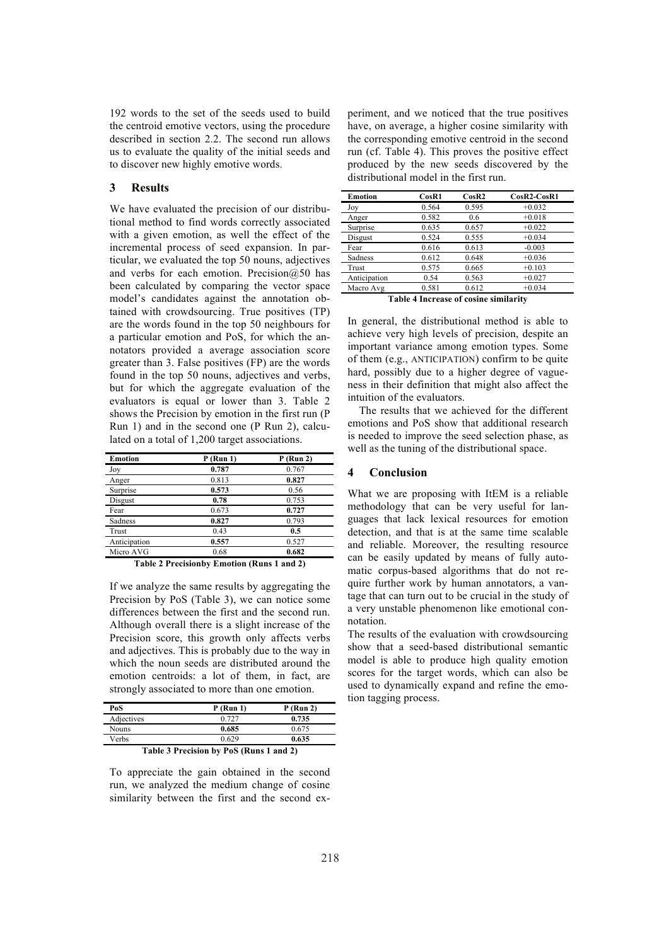192 words to the set of the seeds used to build the centroid emotive vectors, using the procedure described in section 2.2. The second run allows us to evaluate the quality of the initial seeds and to discover new highly emotive words.

## **3 Results**

We have evaluated the precision of our distributional method to find words correctly associated with a given emotion, as well the effect of the incremental process of seed expansion. In particular, we evaluated the top 50 nouns, adjectives and verbs for each emotion. Precision $@50$  has been calculated by comparing the vector space model's candidates against the annotation obtained with crowdsourcing. True positives (TP) are the words found in the top 50 neighbours for a particular emotion and PoS, for which the annotators provided a average association score greater than 3. False positives (FP) are the words found in the top 50 nouns, adjectives and verbs, but for which the aggregate evaluation of the evaluators is equal or lower than 3. Table 2 shows the Precision by emotion in the first run (P Run 1) and in the second one (P Run 2), calculated on a total of 1,200 target associations.

| Emotion      | $P$ (Run 1)                   | $P$ (Run 2) |
|--------------|-------------------------------|-------------|
| Joy          | 0.787                         | 0.767       |
| Anger        | 0.813                         | 0.827       |
| Surprise     | 0.573                         | 0.56        |
| Disgust      | 0.78                          | 0.753       |
| Fear         | 0.673                         | 0.727       |
| Sadness      | 0.827                         | 0.793       |
| Trust        | 0.43                          | 0.5         |
| Anticipation | 0.557                         | 0.527       |
| Micro AVG    | 0.68                          | 0.682       |
|              | .<br>___<br><b>STATISTICS</b> | .           |

**Table 2 Precisionby Emotion (Runs 1 and 2)**

If we analyze the same results by aggregating the Precision by PoS (Table 3), we can notice some differences between the first and the second run. Although overall there is a slight increase of the Precision score, this growth only affects verbs and adjectives. This is probably due to the way in which the noun seeds are distributed around the emotion centroids: a lot of them, in fact, are strongly associated to more than one emotion.

| PoS                                     | $P$ (Run 1) | $P$ (Run 2) |  |  |
|-----------------------------------------|-------------|-------------|--|--|
| Adjectives                              | 0.727       | 0.735       |  |  |
| Nouns                                   | 0.685       | 0.675       |  |  |
| Verbs                                   | 0.629       | 0.635       |  |  |
| Table 3 Precision by PoS (Runs 1 and 2) |             |             |  |  |

To appreciate the gain obtained in the second run, we analyzed the medium change of cosine similarity between the first and the second experiment, and we noticed that the true positives have, on average, a higher cosine similarity with the corresponding emotive centroid in the second run (cf. Table 4). This proves the positive effect produced by the new seeds discovered by the distributional model in the first run.

| Emotion      | CosR1 | CosR2 | $CosR2-CosR1$ |
|--------------|-------|-------|---------------|
| Joy          | 0.564 | 0.595 | $+0.032$      |
| Anger        | 0.582 | 0.6   | $+0.018$      |
| Surprise     | 0.635 | 0.657 | $+0.022$      |
| Disgust      | 0.524 | 0.555 | $+0.034$      |
| Fear         | 0.616 | 0.613 | $-0.003$      |
| Sadness      | 0.612 | 0.648 | $+0.036$      |
| Trust        | 0.575 | 0.665 | $+0.103$      |
| Anticipation | 0.54  | 0.563 | $+0.027$      |
| Macro Avg    | 0.581 | 0.612 | $+0.034$      |

**Table 4 Increase of cosine similarity**

In general, the distributional method is able to achieve very high levels of precision, despite an important variance among emotion types. Some of them (e.g., ANTICIPATION) confirm to be quite hard, possibly due to a higher degree of vagueness in their definition that might also affect the intuition of the evaluators.

The results that we achieved for the different emotions and PoS show that additional research is needed to improve the seed selection phase, as well as the tuning of the distributional space.

## **4 Conclusion**

What we are proposing with ItEM is a reliable methodology that can be very useful for languages that lack lexical resources for emotion detection, and that is at the same time scalable and reliable. Moreover, the resulting resource can be easily updated by means of fully automatic corpus-based algorithms that do not require further work by human annotators, a vantage that can turn out to be crucial in the study of a very unstable phenomenon like emotional connotation.

The results of the evaluation with crowdsourcing show that a seed-based distributional semantic model is able to produce high quality emotion scores for the target words, which can also be used to dynamically expand and refine the emotion tagging process.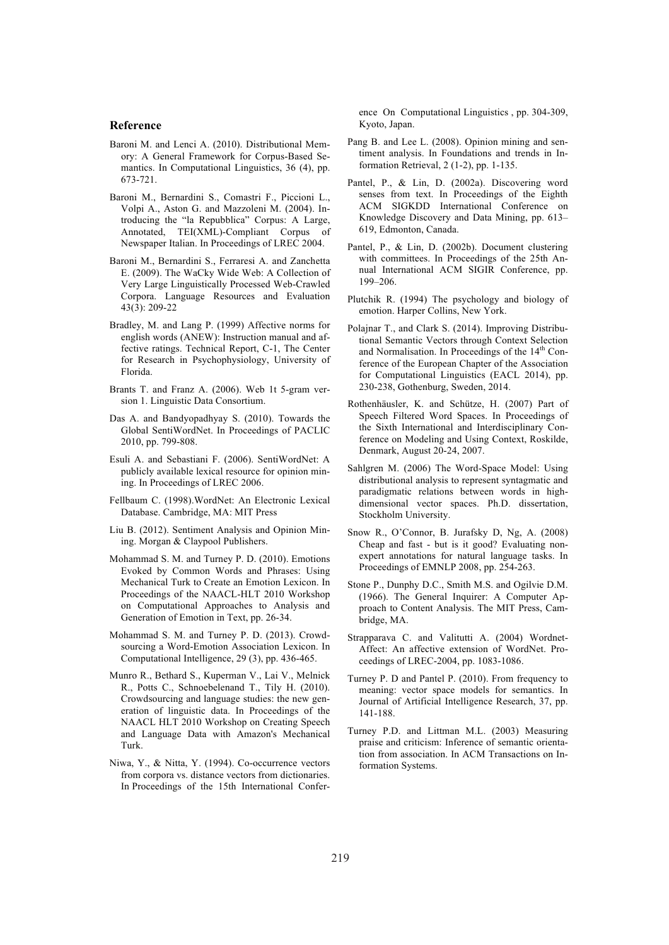#### **Reference**

- Baroni M. and Lenci A. (2010). Distributional Memory: A General Framework for Corpus-Based Semantics. In Computational Linguistics, 36 (4), pp. 673-721.
- Baroni M., Bernardini S., Comastri F., Piccioni L., Volpi A., Aston G. and Mazzoleni M. (2004). Introducing the "la Repubblica" Corpus: A Large, Annotated, TEI(XML)-Compliant Corpus of Newspaper Italian. In Proceedings of LREC 2004.
- Baroni M., Bernardini S., Ferraresi A. and Zanchetta E. (2009). The WaCky Wide Web: A Collection of Very Large Linguistically Processed Web-Crawled Corpora. Language Resources and Evaluation 43(3): 209-22
- Bradley, M. and Lang P. (1999) Affective norms for english words (ANEW): Instruction manual and affective ratings. Technical Report, C-1, The Center for Research in Psychophysiology, University of Florida.
- Brants T. and Franz A. (2006). Web 1t 5-gram version 1. Linguistic Data Consortium.
- Das A. and Bandyopadhyay S. (2010). Towards the Global SentiWordNet. In Proceedings of PACLIC 2010, pp. 799-808.
- Esuli A. and Sebastiani F. (2006). SentiWordNet: A publicly available lexical resource for opinion mining. In Proceedings of LREC 2006.
- Fellbaum C. (1998).WordNet: An Electronic Lexical Database. Cambridge, MA: MIT Press
- Liu B. (2012). Sentiment Analysis and Opinion Mining. Morgan & Claypool Publishers.
- Mohammad S. M. and Turney P. D. (2010). Emotions Evoked by Common Words and Phrases: Using Mechanical Turk to Create an Emotion Lexicon. In Proceedings of the NAACL-HLT 2010 Workshop on Computational Approaches to Analysis and Generation of Emotion in Text, pp. 26-34.
- Mohammad S. M. and Turney P. D. (2013). Crowdsourcing a Word-Emotion Association Lexicon. In Computational Intelligence, 29 (3), pp. 436-465.
- Munro R., Bethard S., Kuperman V., Lai V., Melnick R., Potts C., Schnoebelenand T., Tily H. (2010). Crowdsourcing and language studies: the new generation of linguistic data. In Proceedings of the NAACL HLT 2010 Workshop on Creating Speech and Language Data with Amazon's Mechanical Turk.
- Niwa, Y., & Nitta, Y. (1994). Co-occurrence vectors from corpora vs. distance vectors from dictionaries. In Proceedings of the 15th International Confer-

ence On Computational Linguistics , pp. 304-309, Kyoto, Japan.

- Pang B. and Lee L. (2008). Opinion mining and sentiment analysis. In Foundations and trends in Information Retrieval, 2 (1-2), pp. 1-135.
- Pantel, P., & Lin, D. (2002a). Discovering word senses from text. In Proceedings of the Eighth ACM SIGKDD International Conference on Knowledge Discovery and Data Mining, pp. 613– 619, Edmonton, Canada.
- Pantel, P., & Lin, D. (2002b). Document clustering with committees. In Proceedings of the 25th Annual International ACM SIGIR Conference, pp. 199–206.
- Plutchik R. (1994) The psychology and biology of emotion. Harper Collins, New York.
- Polajnar T., and Clark S. (2014). Improving Distributional Semantic Vectors through Context Selection and Normalisation. In Proceedings of the  $14<sup>th</sup>$  Conference of the European Chapter of the Association for Computational Linguistics (EACL 2014), pp. 230-238, Gothenburg, Sweden, 2014.
- Rothenhäusler, K. and Schütze, H. (2007) Part of Speech Filtered Word Spaces. In Proceedings of the Sixth International and Interdisciplinary Conference on Modeling and Using Context, Roskilde, Denmark, August 20-24, 2007.
- Sahlgren M. (2006) The Word-Space Model: Using distributional analysis to represent syntagmatic and paradigmatic relations between words in highdimensional vector spaces. Ph.D. dissertation, Stockholm University.
- Snow R., O'Connor, B. Jurafsky D, Ng, A. (2008) Cheap and fast - but is it good? Evaluating nonexpert annotations for natural language tasks. In Proceedings of EMNLP 2008, pp. 254-263.
- Stone P., Dunphy D.C., Smith M.S. and Ogilvie D.M. (1966). The General Inquirer: A Computer Approach to Content Analysis. The MIT Press, Cambridge, MA.
- Strapparava C. and Valitutti A. (2004) Wordnet-Affect: An affective extension of WordNet. Proceedings of LREC-2004, pp. 1083-1086.
- Turney P. D and Pantel P. (2010). From frequency to meaning: vector space models for semantics. In Journal of Artificial Intelligence Research, 37, pp. 141-188.
- Turney P.D. and Littman M.L. (2003) Measuring praise and criticism: Inference of semantic orientation from association. In ACM Transactions on Information Systems.